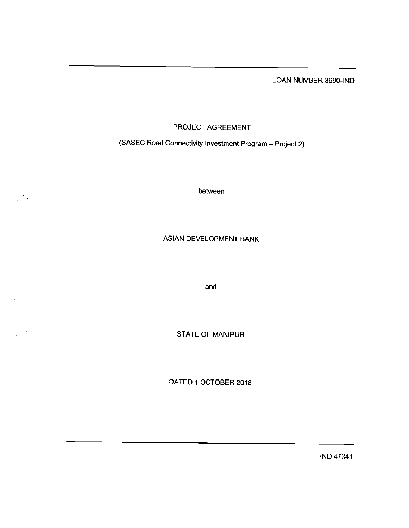LOAN NUMBER 3690-IND

# PROJECT AGREEMENT

(SASEC Road Connectivity Investment Program - Project 2)

between

 $\mathbb{R}^3$  )

 $\left\langle \frac{1}{2} \right\rangle_{\rm{tot}}$ 

# ASIAN DEVELOPMENT BANK

and

 $\sim$ 

**STATE OF MANIPUR** 

DATED 1 0CTOBER 2018

IND 47341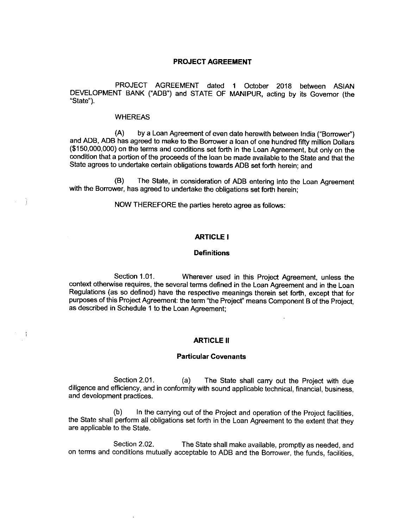### PROJECT AGREEMENT

PROJECT AGREEMENT dated 4 0ctober 2018 between ASIAN DEVELOPMENT BANK ("ADB") and STATE OF MANIPUR, acting by its Governor (the "State").

### WHEREAS

(A) by a Loan Agreement of even date herewith between India("Borrower") and ADB, ADB has agreed to make to the Borrower a loan of one hundred fifty million Dollars (\$150,000,000) on the terms and conditions setforth in the Loan Agreement, but only on the condition that a portion of the proceeds of the loan be made available to the State and that the State agrees to undertake certain obligations towards ADB set forth herein; and

(B) The State, in consideration of ADB entering into the Loan Agreement with the Borrower, has agreed to undertake the obligations set forth herein;

NOW THEREFORE the parties hereto agree as follows:

### ARTICLE I

# **Definitions**

Section 1.01. Wherever used in this Project Agreement, unless the context otherwise requires, the several terms defined in the Loan Agreement and in the Loan Regulations (as so defined) have the respective meanings therein set forth, except that for purposes of this Project Agreement: the term "the Project" means Component B of the Project, as described in Schedule 1 to the Loan Agreement;

### **ARTICLE II**

# Particular Covenants

Section 2.01. (a) The State shall carry out the Project with due diligence and efficiency, and in conformity with sound applicable technical, financial, business, and development practices.

(b) In the carrying out of the Project and operation of the Project facilities, the State shall perform all obligations set forth in the Loan Agreement to the extent that they are applicable to the State.

Section 2.02. The State shall make available, promptly as needed, and on terms and conditions mutually acceptable to ADB and the Borrower, the funds, facilities,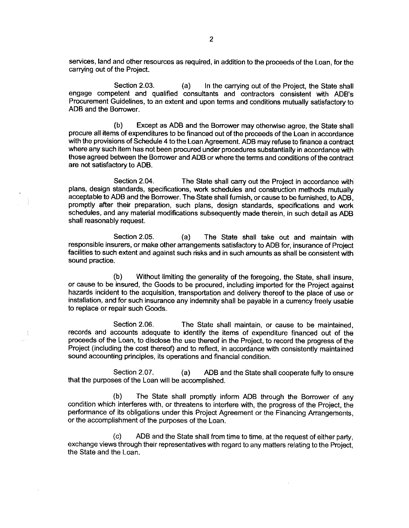services, land and other resources as required, in addition to the proceeds of the Loan, for the carrying out of the Project.

Section 2.03. (a) In the carrying out of the Project, the State shall engage competent and qualified consultants and contractors consistent with ADB's Procurement Guidelines, to an extent and upon terms and conditions mutually satisfactory to ADB and the Borrower.

(b) Except as ADB and the Borrower may otherwise agree, the State shall procure all items of expenditures to be financed out of the proceeds of the Loan in accordance with the provisions of Schedule 4 to the Loan Agreement. ADB may refuse to finance a contract where any such item has not been procured under procedures substantially in accordance with those agreed between the Borrower and ADB or where the terms and conditions ofthe contract are not satisfactory to ADB.

Section 2.04. The State shall carry out the Project in accordance with plans, design standards, specifications, work schedules and construction methods mutually acceptable to ADB and the Borrower. The State shall furnish, or cause to be furnished, to ADB, promptly after their preparation, such plans, design standards, specifications and work schedules, and any material modifications subsequently made therein, in such detail as ADB shall reasonably request.

Section 2.05. (a) The State shall take out and maintain with responsible insurers, or make other arrangements satisfactory to ADB for, insurance of Project facilities to such extent and against such risks and in such amounts as shall be consistent with sound practice.

(b) Without limiting the generality of the foregoing, the State, shall insure, or cause to be insured, the Goods to be procured, including imported for the Project against hazards incident to the acquisition, transportation and delivery thereof to the place of use or installation, and for such insurance any indemnity shall be payable in a currency freely usable to replace or repair such Goods.

Section 2.06. The State shall maintain, or cause to be maintained, records and accounts adequate to identify the items of expenditure financed out of the proceeds of the Loan, to disclose the use thereof in the Project, to record the progress of the Project (including the cost thereof) and to reflect, in accordance with consistently maintained sound accounting principles, its operations and financial condition.

 $\bar{\mathcal{A}}$ 

Section 2.07. (a) ADB and the State shall cooperate fully to ensure that the purposes of the Loan will be accomplished.

(b) The State shall promptly inform ADB through the Borrower of any condition which interferes with, or threatens to interfere with, the progress of the Project, the performance of its obligations under this Project Agreement or the Financing Arrangements, or the accomplishment of the purposes of the Loan.

 $(c)$  ADB and the State shall from time to time, at the request of either party, exchange views through their representatives with regard to any matters relating to the Project, the State and the Loan.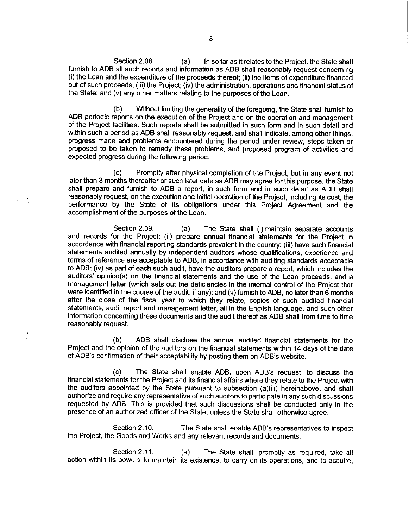Section 2.08. (a) In so far as it relates to the Project, the State shall furnish to ADB all such reports and information as ADB shall reasonably request concerning (i) the Loan and the expenditure of the proceeds thereof; (ii) the items of expenditure financed out of such proceeds; (iii) the Project; (iv) the administration, operations and financial status of the State; and (v) any other matters relating to the purposes of the Loan.

(b) Without limiting the generality of the foregoing, the State shall furnish to ADB periodic reports on the execution of the Project and on the operation and management of the Project facilities. Such reports shall be submitted in such form and in such detail and within such a period as ADB shall reasonably request, and shall indicate, among other things, progress made and problems encountered during the period under review, steps taken or proposed to be taken to remedy these problems, and proposed program of activities and expected progress during the following period.

(c) Promptly after physical completion of the Project, but in any event not later than 3 months thereafter or such later date as ADB may agree for this purpose, the State shall prepare and furnish to ADB a report, in such form and in such detail as ADB shall reasonably request, on the execution and initial operation of the Project, including its cost, the performance by the State of its obligations under this Project Agreement and the accomplishment of the purposes of the Loan.

Section 2.09. (a) The State shall (i) maintain separate accounts and records for the Project; (ii) prepare annual financial statements for the Project in accordance with financial reporting standards prevalent in the country; (iii) have such financial statements audited annually by independent auditors whose qualifications, experience and terms of reference are acceptable to ADB, in accordance with auditing standards acceptable to ADB; (iv) as part of each such audit, have the auditors prepare a report, which includes the auditors' opinion(s) on the financial statements and the use of the Loan proceeds, and a management letter (which sets out the deficiencies in the internal control of the Project that were identified in the course of the audit, if any); and (v) furnish to ADB, no later than 6 months affer the close of the fiscal year to which they relate, copies of such audited financial statements, audit report and management letter, all in the English language, and such other information concerning these documents and the audit thereof as ADB shall from time to time reasonably request.

(b) ADB shall disclose the annual audited financial statements for the Project and the opinion of the auditors on the financial statements within 14 days of the date of ADB's confirmation of their acceptability by posting them on ADB's website.

(c) The State shall enable ADB, upon ADB's request, to discuss the financial statements for the Project and its financial affairs where they relate to the Project with the auditors appointed by the State pursuant to subsection (a)(iii) hereinabove, and shall authorize and require any representative of such auditors to participate in any such discussions requested by ADB. This is provided that such discussions shall be conducted only in the presence of an authorized officer of the State, unless the State shall otherwise agree.

Section 2.10. The State shall enable ADB's representatives to inspect the Project, the Goods and Works and any relevant records and documents.

Section 2.11. (a) The State shall, promptly as required, take all action within its powers to maintain its existence, to carry on its operations, and to acquire,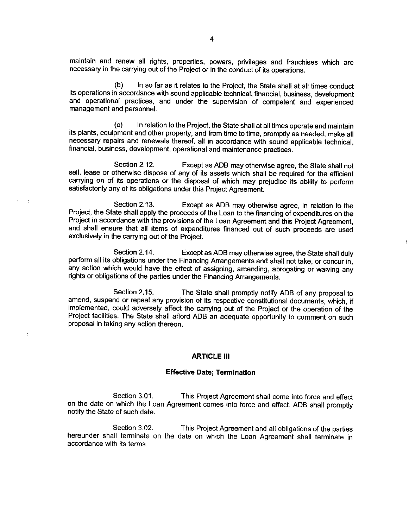maintain and renew all rights, properties, powers, privileges and franchises which are necessary in the carrying out of the Project or in the conduct of its operations.

(b) In sofar as it relates to the Project, the State shall at all times conduct its operations in accordance with sound applicable technical, financial, business, development and operational practices, and under the supervision of competent and experienced management and personnel.

(c) In relation to the Project, the State shall at all times operate and maintain its plants, equipment and other property, and from time to time, promptly as needed, make all necessary repairs and renewals thereof, all in accordance with sound applicable technical, financial, business, development, operational and maintenance practices.

Section 2.12. Except as ADB may otherwise agree, the State shall not sell, lease or otherwise dispose of any of its assets which shall be required for the efficient carrying on of its operations or the disposal of which may prejudice its ability to perform satisfactorily any of its obligations under this Project Agreement.

Section 2.13. Except as ADB may otherwise agree, in relation to the Project, the State shall apply the proceeds of the Loan to the financing of expenditures on the Project in accordance with the provisions of the Loan Agreement and this Project Agreement, and shall ensure that all items of expenditures financed out of such proceeds are used exclusively in the carrying out of the Project.

Section 2.14. Except as ADB may otherwise agree, the State shall duly perform all its obligations under the Financing Arrangements and shall not take, or concur in, any action which would have the effect of assigning, amending, abrogating or waiving any rights or obligations of the parties under the Financing Arrangements.

Section 2.15. The State shall promptly notify ADB of any proposal to amend, suspend or repeal any provision of its respective constitutional documents, which, if implemented, could adversely affect the carrying out of the Project or the operation of the Project facilities. The State shall afford ADB an adequate opportunity to comment on such proposal in taking any action thereon.

### **ARTICLE III**

# Effective Date; Termination

Section 3.01. This Project Agreement shall come into force and effect on the date on which the Loan Agreement comes into force and effect. ADB shall promptly notify the State of such date.

Section 3.02. This Project Agreement and all obligations of the parties hereunder shall terminate on the date on which the Loan Agreement shall terminate in accordance with its terms.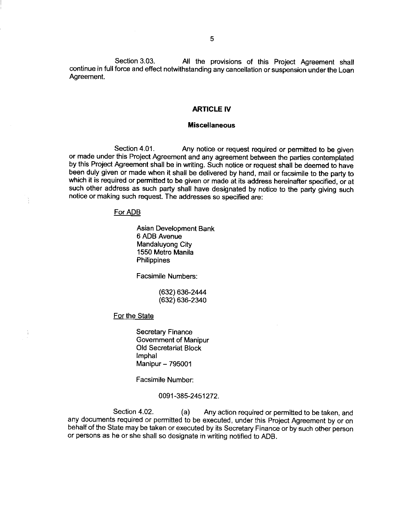Section 3.03. All the provisions of this Project Agreement shall continue in full force and effect notwithstanding any cancellation or suspension under the Loan Agreement.

#### ARTICLE IV

### Miscellaneous

Section 4.01. Any notice or request required or permitted to be given or made under this Project Agreement and any agreement between the parties contemplated by this Project Agreement shall be in writing. Such notice or request shall be deemed to have been duly given or made when it shall be delivered by hand, mail or facsimile to the party to which it is required or permitted to be given or made at its address hereinafter specified, or at such other address as such party shall have designated by notice to the party giving such notice or making such request.The addresses so specified are:

### For ADB

Asian Development Bank 6 ADB Avenue Mandaluyong City 1550 Metro Manila **Philippines** 

Facsimile Numbers:

(632) 636-2444 (632) 636- 2340

**For the State** 

Secretary Finance Government of Manipur Old Secretariat Block Imphal Manipur - 795001

Facsimile Number:

0091-385-2451272.

Section 4.02. (a) Any action required or permitted to be taken, and any documents required or permitted to be executed, under this Project Agreement by or on behalf of the State may be taken or executed by its Secretary Finance or by such other person or persons as he or she shall so designate in writing notified to ADB.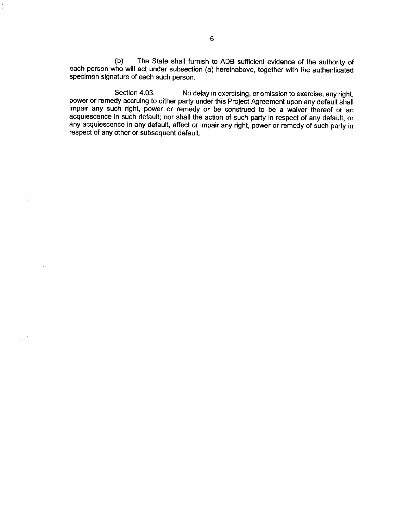(b) The State shall furnish to ADB sufficient evidence of the authority of each person who will act under subsection (a) hereinabove, together with the authenticated specimen signature of each such person.

Section 4.03. No delay in exercising, or omission to exercise, any right, power or remedy accruing to either party under this Project Agreement upon any default shall impair any such right, power or remedy or be construed to be a waiver thereof or an acquiescence in such default; nor shall the action of such party in respect of any default, or any acquiescence in any default, affect or impair any right, power or remedy of such party in respect of any other or subsequent default.